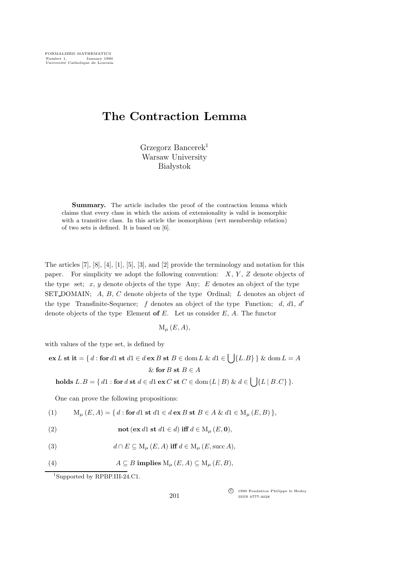## The Contraction Lemma

Grzegorz Bancerek<sup>1</sup> Warsaw University **Białystok** 

Summary. The article includes the proof of the contraction lemma which claims that every class in which the axiom of extensionality is valid is isomorphic with a transitive class. In this article the isomorphism (wrt membership relation) of two sets is defined. It is based on [6].

The articles [7], [8], [4], [1], [5], [3], and [2] provide the terminology and notation for this paper. For simplicity we adopt the following convention:  $X, Y, Z$  denote objects of the type set;  $x, y$  denote objects of the type Any;  $E$  denotes an object of the type SET DOMAIN; A, B, C denote objects of the type Ordinal; L denotes an object of the type Transfinite-Sequence;  $f$  denotes an object of the type Function;  $d, d1, d'$ denote objects of the type Element of  $E$ . Let us consider  $E$ ,  $A$ . The functor

 $M_{\mu}$   $(E, A),$ 

with values of the type set, is defined by

$$
\mathbf{ex}\,L\,\mathbf{st}\,\mathbf{it} = \{d : \mathbf{for}\,d1\,\mathbf{st}\,d1 \in d\,\mathbf{ex}\,B\,\mathbf{st}\,B \in \text{dom}\,L\,\&\,d1 \in \bigcup\{L.B\}\}\,\&\,\text{dom}\,L = A
$$

$$
\&\,\mathbf{for}\,B\,\mathbf{st}\,B \in A
$$

holds  $L.B = \{ d1 : \text{for } d \text{ st } d \in d1 \text{ ex } C \text{ st } C \in \text{dom}(L \mid B) \& d \in \Box \} \{ L \mid B.C \} \}.$ 

One can prove the following propositions:

(1) 
$$
M_{\mu}(E, A) = \{ d : \text{for } d1 \text{ st } d1 \in d \text{ ex } B \text{ st } B \in A \& d1 \in M_{\mu}(E, B) \},
$$

(2) 
$$
\mathbf{not}(\mathbf{ex}\,d1\,\mathbf{st}\,d1\in d)\,\mathbf{iff}\,d\in\mathrm{M}_{\mu}(E,\mathbf{0}),
$$

(3) 
$$
d \cap E \subseteq M_{\mu}(E, A) \text{ iff } d \in M_{\mu}(E, \text{succ } A),
$$

(4) 
$$
A \subseteq B
$$
 implies  $M_{\mu}(E, A) \subseteq M_{\mu}(E, B)$ ,

<sup>1</sup>Supported by RPBP.III-24.C1.

c<sup>f</sup> 1990 Fondation Philippe le Hodey ISSN 0777-4028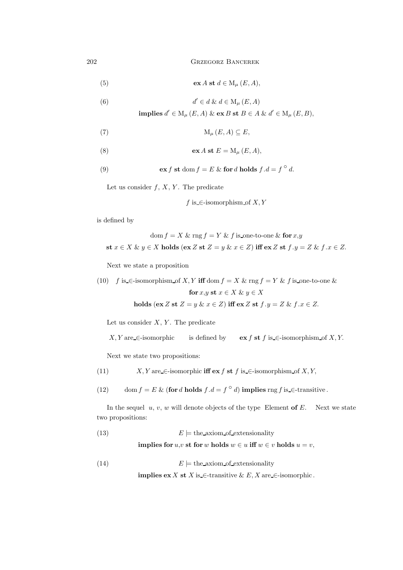202 Grzegorz Bancerek

(5) 
$$
\operatorname{ex} A \operatorname{st} d \in M_{\mu}(E, A),
$$

(6) 
$$
d' \in d \& d \in M_{\mu}(E, A)
$$

implies  $d' \in M_{\mu}(E, A) \& \text{ex } B \text{ st } B \in A \& d' \in M_{\mu}(E, B),$ 

$$
\mathrm{M}_{\mu}\left( E,A\right) \subseteq E,
$$

(8) 
$$
\operatorname{ex} A \operatorname{st} E = M_{\mu}(E, A),
$$

(9) 
$$
\operatorname{ex} f \operatorname{st} \operatorname{dom} f = E \& \operatorname{for} d \operatorname{holds} f.d = f^{\circ} d.
$$

Let us consider  $f, X, Y$ . The predicate

f is  $\in$ -isomorphism of X, Y

is defined by

$$
\text{dom } f = X \& \text{rng } f = Y \& f \text{ is-one-to-one} \& \text{for } x, y
$$
\n
$$
\text{st } x \in X \& y \in X \text{ holds } (\text{ex } Z \text{ st } Z = y \& x \in Z) \text{ iff } \text{ex } Z \text{ st } f \cdot y = Z \& f \cdot x \in Z.
$$

Next we state a proposition

(10) 
$$
f
$$
 is.- $\in$ -isomorphism of  $X, Y$  iff  $\text{dom } f = X \& \text{rng } f = Y \& f$  is-one-to-one  $\&$   
\nfor  $x, y \text{ st } x \in X \& y \in X$   
\nholds (ex  $Z \text{ st } Z = y \& x \in Z$ ) iff ex  $Z \text{ st } f \cdot y = Z \& f \cdot x \in Z$ .

Let us consider  $X, Y$ . The predicate

X, Y are 
$$
\in
$$
-isomorphic is defined by  $\operatorname{ex} f$  st  $f$  is  $\in$ -isomorphism of X, Y.

Next we state two propositions:

(11)  $X, Y \text{ are } \in \text{-isomorphic iff } \text{ex } f \text{ st } f \text{ is } \in \text{-isomorphism of } X, Y,$ 

(12) dom  $f = E \&$  (for d holds  $f.d = f^{\circ} d$ ) implies rng f is  $\in$ -transitive.

In the sequel  $u, v, w$  will denote objects of the type Element of  $E$ . Next we state two propositions:

(13) 
$$
E \models \text{the axiom_of-extensionality}
$$

implies for  $u, v$  st for w holds  $w \in u$  iff  $w \in v$  holds  $u = v$ ,

(14)  $E \models$  the axiom of extensionality

**implies ex** X st X is  $\in$ -transitive & E, X are  $\in$ -isomorphic.